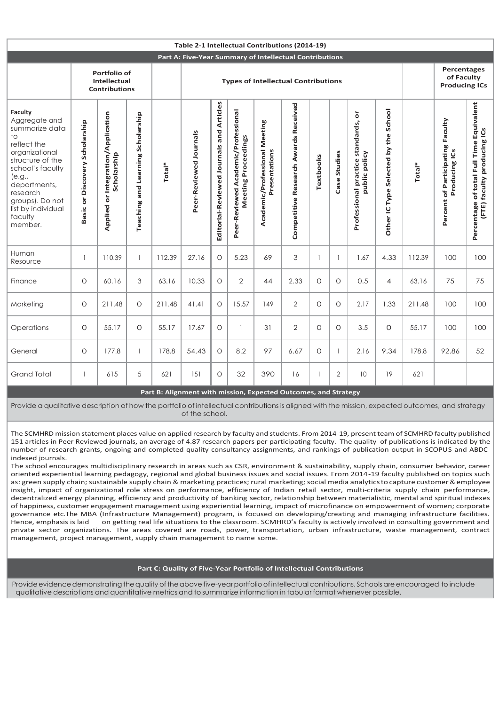|                                                                                                                                                                                                                                  | Table 2-1 Intellectual Contributions (2014-19)       |                                                        |                                      |                                                                 |                                            |                                          |                                                            |                                                |                                      |              |                  |                                                        |                                      |        |                                                   |                                                                         |
|----------------------------------------------------------------------------------------------------------------------------------------------------------------------------------------------------------------------------------|------------------------------------------------------|--------------------------------------------------------|--------------------------------------|-----------------------------------------------------------------|--------------------------------------------|------------------------------------------|------------------------------------------------------------|------------------------------------------------|--------------------------------------|--------------|------------------|--------------------------------------------------------|--------------------------------------|--------|---------------------------------------------------|-------------------------------------------------------------------------|
| Part A: Five-Year Summary of Intellectual Contributions                                                                                                                                                                          |                                                      |                                                        |                                      |                                                                 |                                            |                                          |                                                            |                                                |                                      |              |                  |                                                        |                                      |        |                                                   |                                                                         |
|                                                                                                                                                                                                                                  | Portfolio of<br>Intellectual<br><b>Contributions</b> |                                                        |                                      |                                                                 | <b>Types of Intellectual Contributions</b> |                                          |                                                            |                                                |                                      |              |                  |                                                        |                                      |        | Percentages<br>of Faculty<br><b>Producing ICs</b> |                                                                         |
| Faculty<br>Aggregate and<br>summarize data<br>$10$<br>reflect the<br>organizational<br>structure of the<br>school's faculty<br>(e.g.,<br>departments,<br>research<br>groups). Do not<br>list by individual<br>faculty<br>member. | Basic or Discovery Scholarship                       | Integration/Application<br>Scholarship<br>ŏ<br>Applied | and Learning Scholarship<br>Teaching | Total*                                                          | Peer-Reviewed Journals                     | Editorial-Reviewed Journals and Articles | Peer-Reviewed Academic/Professional<br>Meeting Proceedings | Academic/Professional Meeting<br>Presentations | Competitive Research Awards Received | Textbooks    | Studies<br>Case: | ŏ<br>Professional practice standards,<br>public policy | Other IC Type Selected by the School | Total* | Percent of Participating Faculty<br>Producing ICs | Percentage of total Full Time Equivalent<br>(FTE) faculty producing ICs |
| Human<br>Resource                                                                                                                                                                                                                | $\overline{1}$                                       | 110.39                                                 | $\mathbf{1}$                         | 112.39                                                          | 27.16                                      | $\circ$                                  | 5.23                                                       | 69                                             | 3                                    | $\mathbf{1}$ |                  | 1.67                                                   | 4.33                                 | 112.39 | 100                                               | 100                                                                     |
| Finance                                                                                                                                                                                                                          | $\circ$                                              | 60.16                                                  | 3                                    | 63.16                                                           | 10.33                                      | $\circ$                                  | $\overline{2}$                                             | 44                                             | 2.33                                 | $\Omega$     | $\Omega$         | 0.5                                                    | 4                                    | 63.16  | 75                                                | 75                                                                      |
| Marketing                                                                                                                                                                                                                        | O                                                    | 211.48                                                 | O                                    | 211.48                                                          | 41.41                                      | $\circ$                                  | 15.57                                                      | 149                                            | 2                                    | $\circ$      | O                | 2.17                                                   | 1.33                                 | 211.48 | 100                                               | 100                                                                     |
| Operations                                                                                                                                                                                                                       | $\circ$                                              | 55.17                                                  | O                                    | 55.17                                                           | 17.67                                      | $\circ$                                  |                                                            | 31                                             | 2                                    | $\Omega$     | $\Omega$         | 3.5                                                    | $\circ$                              | 55.17  | 100                                               | 100                                                                     |
| General                                                                                                                                                                                                                          | $\circ$                                              | 177.8                                                  | $\mathbf{1}$                         | 178.8                                                           | 54.43                                      | $\circ$                                  | 8.2                                                        | 97                                             | 6.67                                 | $\circ$      |                  | 2.16                                                   | 9.34                                 | 178.8  | 92.86                                             | 52                                                                      |
| <b>Grand Total</b>                                                                                                                                                                                                               | $\overline{1}$                                       | 615                                                    | $\sqrt{5}$                           | 621                                                             | 151                                        | $\circ$                                  | 32                                                         | 390                                            | 16                                   |              | $\overline{2}$   | 10                                                     | 19                                   | 621    |                                                   |                                                                         |
|                                                                                                                                                                                                                                  |                                                      |                                                        |                                      | Part B: Alignment with mission, Expected Outcomes, and Strategy |                                            |                                          |                                                            |                                                |                                      |              |                  |                                                        |                                      |        |                                                   |                                                                         |

Provide a qualitative description of how the portfolio of intellectual contributions is aligned with the mission, expected outcomes, and strategy of the school.

The SCMHRD mission statement places value on applied research by faculty and students. From 2014-19, present team of SCMHRD faculty published 151 articles in Peer Reviewed journals, an average of 4.87 research papers per participating faculty. The quality of publications is indicated by the number of research grants, ongoing and completed quality consultancy assignments, and rankings of publication output in SCOPUS and ABDCindexed journals.

The school encourages multidisciplinary research in areas such as CSR, environment & sustainability, supply chain, consumer behavior, career oriented experiential learning pedagogy, regional and global business issues and social issues. From 2014-19 faculty published on topics such as: green supply chain; sustainable supply chain & marketing practices; rural marketing; social media analytics to capture customer & employee insight, impact of organizational role stress on performance, efficiency of Indian retail sector, multi-criteria supply chain performance, decentralized energy planning, efficiency and productivity of banking sector, relationship between materialistic, mental and spiritual indexes of happiness, customer engagement management using experiential learning, impact of microfinance on empowerment of women; corporate governance etc.The MBA (Infrastructure Management) program, is focused on developing/creating and managing infrastructure facilities.<br>Hence, emphasis is laid on getting real life situations to the classroom. SCMHRD's facul on getting real life situations to the classroom. SCMHRD's faculty is actively involved in consulting government and private sector organizations. The areas covered are roads, power, transportation, urban infrastructure, waste management, contract management, project management, supply chain management to name some.

## **Part C: Quality of Five-Year Portfolio of Intellectual Contributions**

Provide evidence demonstrating the quality of the above five-year portfolio of intellectual contributions. Schools are encouraged to include qualitative descriptions and quantitative metrics and to summarize information in tabular format whenever possible.